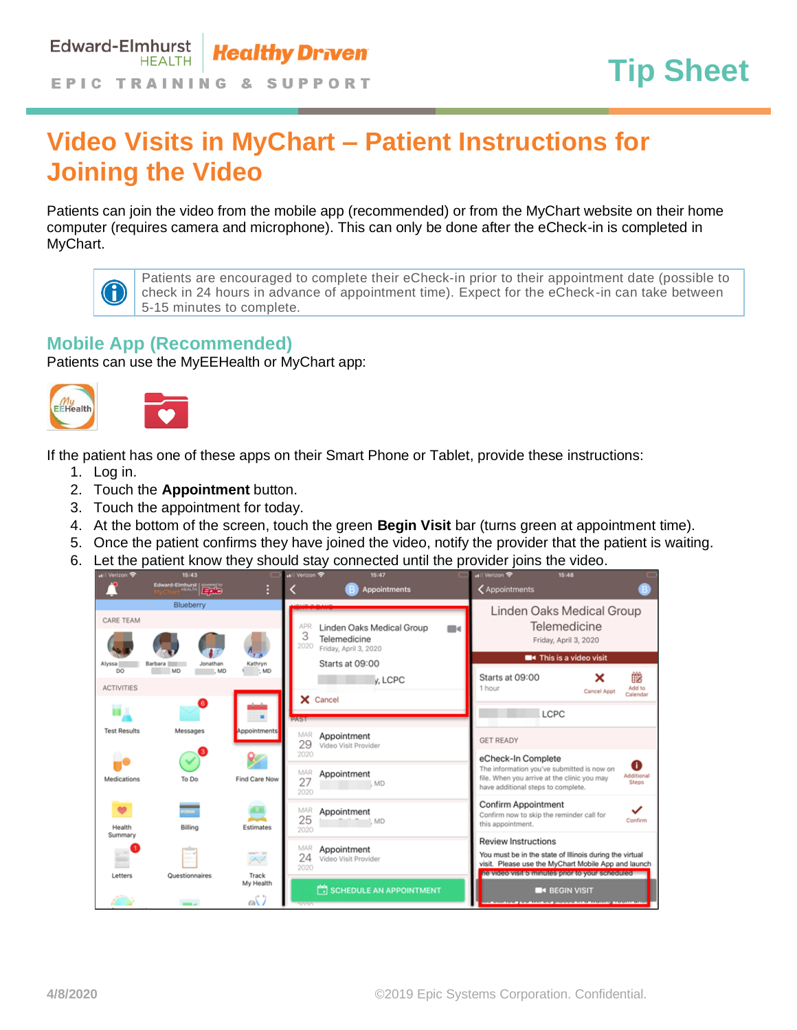## **Video Visits in MyChart – Patient Instructions for Joining the Video**

Patients can join the video from the mobile app (recommended) or from the MyChart website on their home computer (requires camera and microphone). This can only be done after the eCheck-in is completed in MyChart.



Patients are encouraged to complete their eCheck-in prior to their appointment date (possible to check in 24 hours in advance of appointment time). Expect for the eCheck-in can take between 5-15 minutes to complete.

## **Mobile App (Recommended)**

Patients can use the MyEEHealth or MyChart app:



If the patient has one of these apps on their Smart Phone or Tablet, provide these instructions:

- 1. Log in.
- 2. Touch the **Appointment** button.
- 3. Touch the appointment for today.
- 4. At the bottom of the screen, touch the green **Begin Visit** bar (turns green at appointment time).
- 5. Once the patient confirms they have joined the video, notify the provider that the patient is waiting.
- 6. Let the patient know they should stay connected until the provider joins the video.

| <b>all verizon</b>  | 15:43               |                    | $H$ Metrzon<br>15.47                     |                | $\blacksquare$ venzon                                            | 15:48                                  |                     |
|---------------------|---------------------|--------------------|------------------------------------------|----------------|------------------------------------------------------------------|----------------------------------------|---------------------|
|                     | Edward-Elmhurst     |                    | <b>Appointments</b>                      |                | <b>く</b> Appointments                                            |                                        |                     |
|                     | Blueberry           |                    |                                          |                | Linden Oaks Medical Group                                        |                                        |                     |
| <b>CARE TEAM</b>    |                     |                    | APR<br>Linden Oaks Medical Group         |                |                                                                  | Telemedicine                           |                     |
|                     |                     |                    | 3<br>Telemedicine<br>2020                | $\blacksquare$ |                                                                  | Friday, April 3, 2020                  |                     |
| Alyssa              | Jonathan<br>Barbara | Kathryn            | Friday, April 3, 2020<br>Starts at 09:00 |                |                                                                  | <b>Example 1</b> This is a video visit |                     |
| DO                  | MD<br>MD            | : MD               |                                          |                | Starts at 09:00                                                  | ×                                      | 雦                   |
| <b>ACTIVITIES</b>   |                     |                    | y, LCPC                                  |                | 1 hour                                                           | Cancel Appt                            | Add to              |
|                     | G                   |                    | X Cancel                                 |                |                                                                  |                                        | Calendar            |
|                     |                     |                    | PAST                                     |                | LCPC                                                             |                                        |                     |
| <b>Test Results</b> | Messages            | Appointments       | MAR<br>Appointment                       |                | <b>GET READY</b>                                                 |                                        |                     |
|                     |                     |                    | 29<br>Video Visit Provider<br>2020       |                |                                                                  |                                        |                     |
|                     |                     |                    |                                          |                | eCheck-In Complete<br>The information you've submitted is now on |                                        | O                   |
| Medications         | To Do               | Find Care Now      | MAR<br>Appointment<br>27<br>L MD         |                | file. When you arrive at the clinic you may                      |                                        | Additional<br>Steps |
|                     |                     |                    | 2020                                     |                | have additional steps to complete.                               |                                        |                     |
| $\bullet$           | <b>Contract</b>     |                    | MAR<br>Appointment                       |                | <b>Confirm Appointment</b>                                       |                                        | ✓                   |
| Health              | Billing             | Estimates          | 25<br>1. MD                              |                | Confirm now to skip the reminder call for<br>this appointment.   |                                        | Confirm             |
| Summary             |                     |                    | 2020                                     |                | <b>Review Instructions</b>                                       |                                        |                     |
|                     | سلب                 | $-11$              | MAR<br>Appointment                       |                | You must be in the state of Illinois during the virtual          |                                        |                     |
|                     | ٠                   | ∼                  | 24<br>Video Visit Provider<br>2020       |                | visit. Please use the MyChart Mobile App and launch              |                                        |                     |
| Letters             | Questionnaires      | Track<br>My Health |                                          |                | ne video visit 5 minutes prior to your scheduled                 |                                        |                     |
|                     |                     |                    | SCHEDULE AN APPOINTMENT                  |                |                                                                  | <b>BEGIN VISIT</b>                     |                     |
|                     |                     | oG)                |                                          |                |                                                                  |                                        |                     |